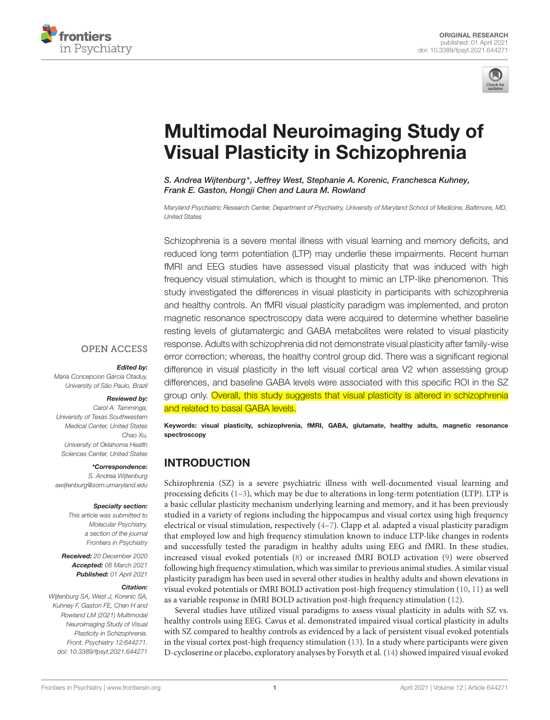



# [Multimodal Neuroimaging Study of](https://www.frontiersin.org/articles/10.3389/fpsyt.2021.644271/full) Visual Plasticity in Schizophrenia

S. Andrea Wijtenburg\*, Jeffrey West, Stephanie A. Korenic, Franchesca Kuhney, Frank E. Gaston, Hongji Chen and Laura M. Rowland

Maryland Psychiatric Research Center, Department of Psychiatry, University of Maryland School of Medicine, Baltimore, MD, United States

Schizophrenia is a severe mental illness with visual learning and memory deficits, and reduced long term potentiation (LTP) may underlie these impairments. Recent human fMRI and EEG studies have assessed visual plasticity that was induced with high frequency visual stimulation, which is thought to mimic an LTP-like phenomenon. This study investigated the differences in visual plasticity in participants with schizophrenia and healthy controls. An fMRI visual plasticity paradigm was implemented, and proton magnetic resonance spectroscopy data were acquired to determine whether baseline resting levels of glutamatergic and GABA metabolites were related to visual plasticity response. Adults with schizophrenia did not demonstrate visual plasticity after family-wise error correction; whereas, the healthy control group did. There was a significant regional difference in visual plasticity in the left visual cortical area V2 when assessing group differences, and baseline GABA levels were associated with this specific ROI in the SZ group only. Overall, this study suggests that visual plasticity is altered in schizophrenia and related to basal GABA levels.

#### **OPEN ACCESS**

#### Edited by:

Maria Concepcion Garcia Otaduy, University of São Paulo, Brazil

#### Reviewed by:

Carol A. Tamminga, University of Texas Southwestern Medical Center, United States Chao Xu, University of Oklahoma Health Sciences Center, United States

#### \*Correspondence:

S. Andrea Wijtenburg [awijtenburg@som.umaryland.edu](mailto:awijtenburg@som.umaryland.edu)

#### Specialty section:

This article was submitted to Molecular Psychiatry, a section of the journal Frontiers in Psychiatry

Received: 20 December 2020 Accepted: 08 March 2021 Published: 01 April 2021

#### Citation:

Wijtenburg SA, West J, Korenic SA, Kuhney E, Gaston FE, Chen H and Rowland LM (2021) Multimodal Neuroimaging Study of Visual Plasticity in Schizophrenia. Front. Psychiatry 12:644271. doi: [10.3389/fpsyt.2021.644271](https://doi.org/10.3389/fpsyt.2021.644271) Keywords: visual plasticity, schizophrenia, fMRI, GABA, glutamate, healthy adults, magnetic resonance spectroscopy

# INTRODUCTION

Schizophrenia (SZ) is a severe psychiatric illness with well-documented visual learning and processing deficits  $(1-3)$  $(1-3)$ , which may be due to alterations in long-term potentiation (LTP). LTP is a basic cellular plasticity mechanism underlying learning and memory, and it has been previously studied in a variety of regions including the hippocampus and visual cortex using high frequency electrical or visual stimulation, respectively [\(4–](#page-6-2)[7\)](#page-6-3). Clapp et al. adapted a visual plasticity paradigm that employed low and high frequency stimulation known to induce LTP-like changes in rodents and successfully tested the paradigm in healthy adults using EEG and fMRI. In these studies, increased visual evoked potentials [\(8\)](#page-6-4) or increased fMRI BOLD activation [\(9\)](#page-6-5) were observed following high frequency stimulation, which was similar to previous animal studies. A similar visual plasticity paradigm has been used in several other studies in healthy adults and shown elevations in visual evoked potentials or fMRI BOLD activation post-high frequency stimulation [\(10,](#page-6-6) [11\)](#page-6-7) as well as a variable response in fMRI BOLD activation post-high frequency stimulation [\(12\)](#page-6-8).

Several studies have utilized visual paradigms to assess visual plasticity in adults with SZ vs. healthy controls using EEG. Cavus et al. demonstrated impaired visual cortical plasticity in adults with SZ compared to healthy controls as evidenced by a lack of persistent visual evoked potentials in the visual cortex post-high frequency stimulation [\(13\)](#page-6-9). In a study where participants were given D-cycloserine or placebo, exploratory analyses by Forsyth et al. [\(14\)](#page-6-10) showed impaired visual evoked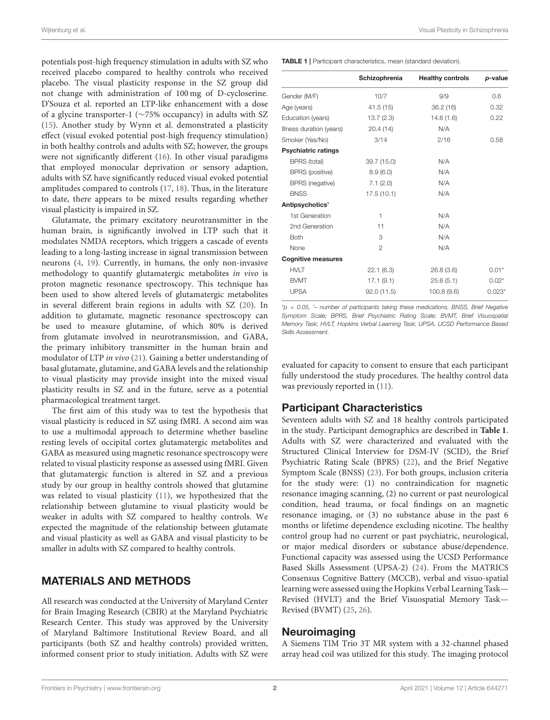potentials post-high frequency stimulation in adults with SZ who received placebo compared to healthy controls who received placebo. The visual plasticity response in the SZ group did not change with administration of 100 mg of D-cycloserine. D'Souza et al. reported an LTP-like enhancement with a dose of a glycine transporter-1 (∼75% occupancy) in adults with SZ [\(15\)](#page-6-11). Another study by Wynn et al. demonstrated a plasticity effect (visual evoked potential post-high frequency stimulation) in both healthy controls and adults with SZ; however, the groups were not significantly different [\(16\)](#page-6-12). In other visual paradigms that employed monocular deprivation or sensory adaption, adults with SZ have significantly reduced visual evoked potential amplitudes compared to controls [\(17,](#page-6-13) [18\)](#page-6-14). Thus, in the literature to date, there appears to be mixed results regarding whether visual plasticity is impaired in SZ.

Glutamate, the primary excitatory neurotransmitter in the human brain, is significantly involved in LTP such that it modulates NMDA receptors, which triggers a cascade of events leading to a long-lasting increase in signal transmission between neurons [\(4,](#page-6-2) [19\)](#page-6-15). Currently, in humans, the only non-invasive methodology to quantify glutamatergic metabolites in vivo is proton magnetic resonance spectroscopy. This technique has been used to show altered levels of glutamatergic metabolites in several different brain regions in adults with SZ [\(20\)](#page-6-16). In addition to glutamate, magnetic resonance spectroscopy can be used to measure glutamine, of which 80% is derived from glutamate involved in neurotransmission, and GABA, the primary inhibitory transmitter in the human brain and modulator of LTP in vivo [\(21\)](#page-6-17). Gaining a better understanding of basal glutamate, glutamine, and GABA levels and the relationship to visual plasticity may provide insight into the mixed visual plasticity results in SZ and in the future, serve as a potential pharmacological treatment target.

The first aim of this study was to test the hypothesis that visual plasticity is reduced in SZ using fMRI. A second aim was to use a multimodal approach to determine whether baseline resting levels of occipital cortex glutamatergic metabolites and GABA as measured using magnetic resonance spectroscopy were related to visual plasticity response as assessed using fMRI. Given that glutamatergic function is altered in SZ and a previous study by our group in healthy controls showed that glutamine was related to visual plasticity [\(11\)](#page-6-7), we hypothesized that the relationship between glutamine to visual plasticity would be weaker in adults with SZ compared to healthy controls. We expected the magnitude of the relationship between glutamate and visual plasticity as well as GABA and visual plasticity to be smaller in adults with SZ compared to healthy controls.

# MATERIALS AND METHODS

All research was conducted at the University of Maryland Center for Brain Imaging Research (CBIR) at the Maryland Psychiatric Research Center. This study was approved by the University of Maryland Baltimore Institutional Review Board, and all participants (both SZ and healthy controls) provided written, informed consent prior to study initiation. Adults with SZ were <span id="page-1-0"></span>TABLE 1 | Participant characteristics, mean (standard deviation).

|                            | Schizophrenia  | <b>Healthy controls</b> | p-value  |
|----------------------------|----------------|-------------------------|----------|
|                            |                |                         |          |
| Gender (M/F)               | 10/7           | 9/9                     | 0.6      |
| Age (years)                | 41.5(15)       | 36.2(16)                | 0.32     |
| Education (years)          | 13.7(2.3)      | 14.6(1.6)               | 0.22     |
| Illness duration (years)   | 20.4(14)       | N/A                     |          |
| Smoker (Yes/No)            | 3/14           | 2/16                    | 0.58     |
| <b>Psychiatric ratings</b> |                |                         |          |
| BPRS (total)               | 39.7 (15.0)    | N/A                     |          |
| <b>BPRS</b> (positive)     | 8.9(6.0)       | N/A                     |          |
| <b>BPRS</b> (negative)     | 7.1(2.0)       | N/A                     |          |
| <b>BNSS</b>                | 17.5(10.1)     | N/A                     |          |
| Antipsychotics'            |                |                         |          |
| 1st Generation             | 1              | N/A                     |          |
| 2nd Generation             | 11             | N/A                     |          |
| <b>Both</b>                | 3              | N/A                     |          |
| None                       | $\mathfrak{p}$ | N/A                     |          |
| <b>Cognitive measures</b>  |                |                         |          |
| <b>HVLT</b>                | 22.1(6.3)      | 26.8(3.6)               | $0.01*$  |
| <b>BVMT</b>                | 17.1(9.1)      | 25.6(5.1)               | $0.02*$  |
| <b>UPSA</b>                | 92.0(11.5)     | 100.8(9.6)              | $0.023*$ |
|                            |                |                         |          |

 $p$  < 0.05, '- number of participants taking these medications, BNSS, Brief Negative Symptom Scale; BPRS, Brief Psychiatric Rating Scale; BVMT, Brief Visuospatial Memory Task; HVLT, Hopkins Verbal Learning Task; UPSA, UCSD Performance Based Skills Assessment.

evaluated for capacity to consent to ensure that each participant fully understood the study procedures. The healthy control data was previously reported in [\(11\)](#page-6-7).

# Participant Characteristics

Seventeen adults with SZ and 18 healthy controls participated in the study. Participant demographics are described in **[Table 1](#page-1-0)**. Adults with SZ were characterized and evaluated with the Structured Clinical Interview for DSM-IV (SCID), the Brief Psychiatric Rating Scale (BPRS) [\(22\)](#page-6-18), and the Brief Negative Symptom Scale (BNSS) [\(23\)](#page-6-19). For both groups, inclusion criteria for the study were: (1) no contraindication for magnetic resonance imaging scanning, (2) no current or past neurological condition, head trauma, or focal findings on an magnetic resonance imaging, or (3) no substance abuse in the past 6 months or lifetime dependence excluding nicotine. The healthy control group had no current or past psychiatric, neurological, or major medical disorders or substance abuse/dependence. Functional capacity was assessed using the UCSD Performance Based Skills Assessment (UPSA-2) [\(24\)](#page-6-20). From the MATRICS Consensus Cognitive Battery (MCCB), verbal and visuo-spatial learning were assessed using the Hopkins Verbal Learning Task— Revised (HVLT) and the Brief Visuospatial Memory Task— Revised (BVMT) [\(25,](#page-6-21) [26\)](#page-6-22).

## Neuroimaging

A Siemens TIM Trio 3T MR system with a 32-channel phased array head coil was utilized for this study. The imaging protocol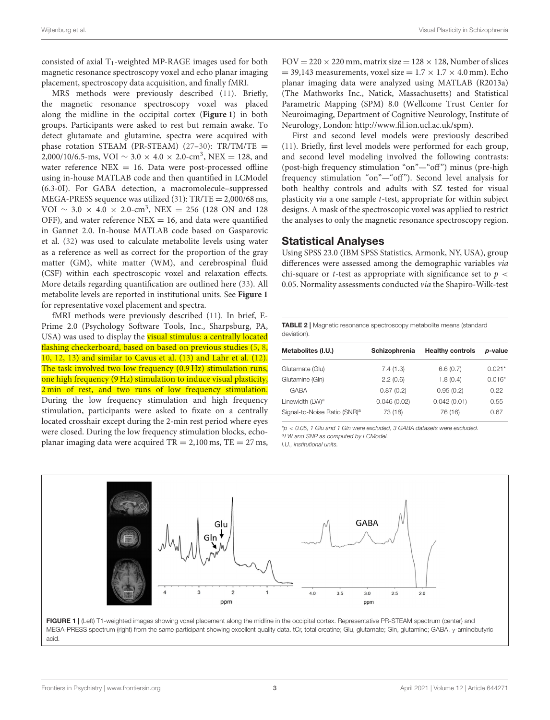consisted of axial  $T_1$ -weighted MP-RAGE images used for both magnetic resonance spectroscopy voxel and echo planar imaging placement, spectroscopy data acquisition, and finally fMRI.

MRS methods were previously described [\(11\)](#page-6-7). Briefly, the magnetic resonance spectroscopy voxel was placed along the midline in the occipital cortex (**[Figure 1](#page-2-0)**) in both groups. Participants were asked to rest but remain awake. To detect glutamate and glutamine, spectra were acquired with phase rotation STEAM (PR-STEAM) [\(27](#page-6-23)-30):  $TR/TM/TE =$ 2,000/10/6.5-ms, VOI  $\sim 3.0 \times 4.0 \times 2.0$ -cm<sup>3</sup>, NEX = 128, and water reference  $NEX = 16$ . Data were post-processed offline using in-house MATLAB code and then quantified in LCModel (6.3-0I). For GABA detection, a macromolecule–suppressed MEGA-PRESS sequence was utilized  $(31)$ : TR/TE = 2,000/68 ms, VOI  $\sim$  3.0  $\times$  4.0  $\times$  2.0-cm<sup>3</sup>, NEX = 256 (128 ON and 128 OFF), and water reference  $NEX = 16$ , and data were quantified in Gannet 2.0. In-house MATLAB code based on Gasparovic et al. [\(32\)](#page-7-1) was used to calculate metabolite levels using water as a reference as well as correct for the proportion of the gray matter (GM), white matter (WM), and cerebrospinal fluid (CSF) within each spectroscopic voxel and relaxation effects. More details regarding quantification are outlined here [\(33\)](#page-7-2). All metabolite levels are reported in institutional units. See **[Figure 1](#page-2-0)** for representative voxel placement and spectra.

fMRI methods were previously described [\(11\)](#page-6-7). In brief, E-Prime 2.0 (Psychology Software Tools, Inc., Sharpsburg, PA, USA) was used to display the visual stimulus: a centrally located flashing checkerboard, based on based on previous studies [\(5,](#page-6-25) [8,](#page-6-4) [10,](#page-6-6) [12,](#page-6-8) [13\)](#page-6-9) and similar to Cavus et al. [\(13\)](#page-6-9) and Lahr et al. [\(12\)](#page-6-8). The task involved two low frequency (0.9 Hz) stimulation runs, one high frequency (9 Hz) stimulation to induce visual plasticity, 2 min of rest, and two runs of low frequency stimulation. During the low frequency stimulation and high frequency stimulation, participants were asked to fixate on a centrally located crosshair except during the 2-min rest period where eyes were closed. During the low frequency stimulation blocks, echoplanar imaging data were acquired  $TR = 2,100$  ms,  $TE = 27$  ms,  $FOV = 220 \times 220$  mm, matrix size =  $128 \times 128$ , Number of slices  $= 39,143$  measurements, voxel size  $= 1.7 \times 1.7 \times 4.0$  mm). Echo planar imaging data were analyzed using MATLAB (R2013a) (The Mathworks Inc., Natick, Massachusetts) and Statistical Parametric Mapping (SPM) 8.0 (Wellcome Trust Center for Neuroimaging, Department of Cognitive Neurology, Institute of Neurology, London: [http://www.fil.ion.ucl.ac.uk/spm\)](http://www.fil.ion.ucl.ac.uk/spm).

First and second level models were previously described [\(11\)](#page-6-7). Briefly, first level models were performed for each group, and second level modeling involved the following contrasts: (post-high frequency stimulation "on"—"off") minus (pre-high frequency stimulation "on"-"off"). Second level analysis for both healthy controls and adults with SZ tested for visual plasticity via a one sample t-test, appropriate for within subject designs. A mask of the spectroscopic voxel was applied to restrict the analyses to only the magnetic resonance spectroscopy region.

#### Statistical Analyses

Using SPSS 23.0 (IBM SPSS Statistics, Armonk, NY, USA), group differences were assessed among the demographic variables via chi-square or *t*-test as appropriate with significance set to  $p <$ 0.05. Normality assessments conducted via the Shapiro-Wilk-test

#### <span id="page-2-1"></span>TABLE 2 | Magnetic resonance spectroscopy metabolite means (standard deviation).

| Metabolites (I.U.)                       | Schizophrenia | <b>Healthy controls</b> | p-value  |
|------------------------------------------|---------------|-------------------------|----------|
| Glutamate (Glu)                          | 7.4(1.3)      | 6.6(0.7)                | $0.021*$ |
| Glutamine (Gln)                          | 2.2(0.6)      | 1.8(0.4)                | $0.016*$ |
| <b>GABA</b>                              | 0.87(0.2)     | 0.95(0.2)               | 0.22     |
| Linewidth (LW) <sup>a</sup>              | 0.046(0.02)   | 0.042(0.01)             | 0.55     |
| Signal-to-Noise Ratio (SNR) <sup>a</sup> | 73 (18)       | 76 (16)                 | 0.67     |
|                                          |               |                         |          |

\*p < 0.05, 1 Glu and 1 Gln were excluded, 3 GABA datasets were excluded.

aLW and SNR as computed by LCModel.

I.U., institutional units.



<span id="page-2-0"></span>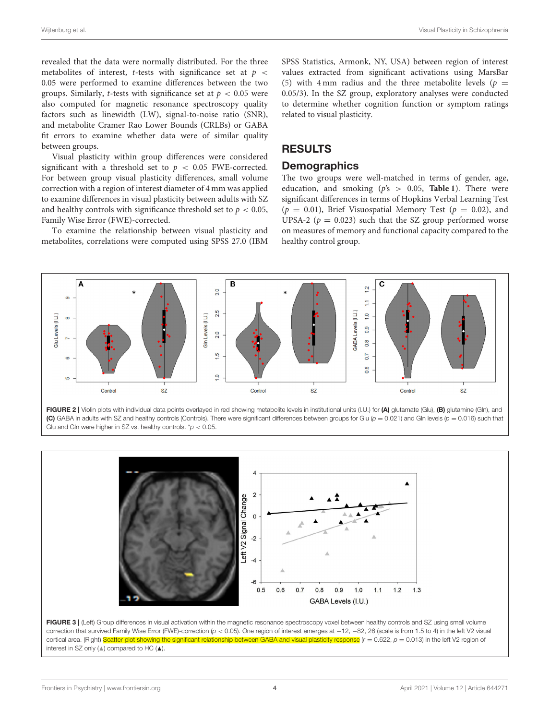revealed that the data were normally distributed. For the three metabolites of interest, *t*-tests with significance set at  $p \leq$ 0.05 were performed to examine differences between the two groups. Similarly, *t*-tests with significance set at  $p < 0.05$  were also computed for magnetic resonance spectroscopy quality factors such as linewidth (LW), signal-to-noise ratio (SNR), and metabolite Cramer Rao Lower Bounds (CRLBs) or GABA fit errors to examine whether data were of similar quality between groups.

Visual plasticity within group differences were considered significant with a threshold set to  $p < 0.05$  FWE-corrected. For between group visual plasticity differences, small volume correction with a region of interest diameter of 4 mm was applied to examine differences in visual plasticity between adults with SZ and healthy controls with significance threshold set to  $p < 0.05$ , Family Wise Error (FWE)-corrected.

To examine the relationship between visual plasticity and metabolites, correlations were computed using SPSS 27.0 (IBM SPSS Statistics, Armonk, NY, USA) between region of interest values extracted from significant activations using MarsBar [\(5\)](#page-6-25) with 4 mm radius and the three metabolite levels ( $p =$ 0.05/3). In the SZ group, exploratory analyses were conducted to determine whether cognition function or symptom ratings related to visual plasticity.

# RESULTS

## **Demographics**

The two groups were well-matched in terms of gender, age, education, and smoking  $(p's > 0.05,$  **[Table 1](#page-1-0)**). There were significant differences in terms of Hopkins Verbal Learning Test  $(p = 0.01)$ , Brief Visuospatial Memory Test  $(p = 0.02)$ , and UPSA-2 ( $p = 0.023$ ) such that the SZ group performed worse on measures of memory and functional capacity compared to the healthy control group.



<span id="page-3-0"></span>FIGURE 2 | Violin plots with individual data points overlayed in red showing metabolite levels in institutional units (I.U.) for (A) glutamate (Glu), (B) glutamine (Gln), and (C) GABA in adults with SZ and healthy controls (Controls). There were significant differences between groups for Glu ( $p = 0.021$ ) and Gln levels ( $p = 0.016$ ) such that Glu and Gln were higher in SZ vs. healthy controls.  $p < 0.05$ .



<span id="page-3-1"></span>correction that survived Family Wise Error (FWE)-correction (p < 0.05). One region of interest emerges at -12, -82, 26 (scale is from 1.5 to 4) in the left V2 visual cortical area. (Right) Scatter plot showing the significant relationship between GABA and visual plasticity response  $(r = 0.622, p = 0.013)$  in the left V2 region of interest in SZ only (N) compared to HC (N).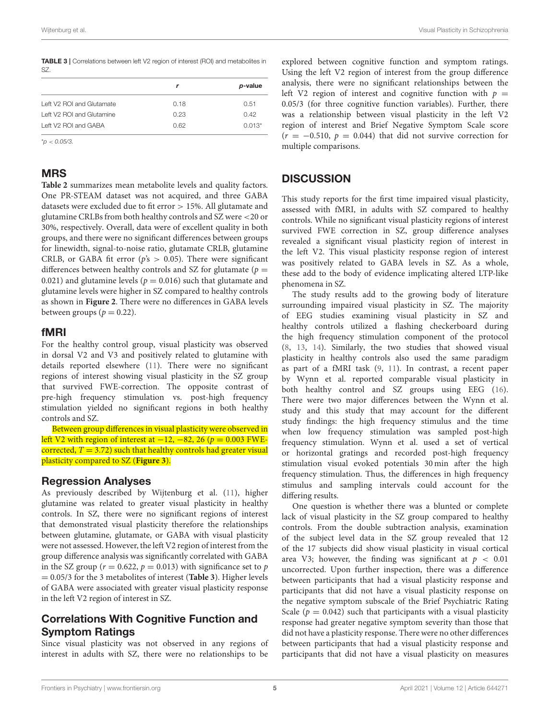<span id="page-4-0"></span>

|     |  |  | <b>TABLE 3</b>   Correlations between left V2 region of interest (ROI) and metabolites in |
|-----|--|--|-------------------------------------------------------------------------------------------|
| SZ. |  |  |                                                                                           |

|                           |      | p-value  |
|---------------------------|------|----------|
| Left V2 ROI and Glutamate | 0.18 | 0.51     |
| Left V2 ROI and Glutamine | 0.23 | O 42     |
| Left V2 ROI and GABA      | 0.62 | $0.013*$ |

 $^{\star}D < 0.05/3.$ 

## MRS

**[Table 2](#page-2-1)** summarizes mean metabolite levels and quality factors. One PR-STEAM dataset was not acquired, and three GABA datasets were excluded due to fit error > 15%. All glutamate and glutamine CRLBs from both healthy controls and SZ were <20 or 30%, respectively. Overall, data were of excellent quality in both groups, and there were no significant differences between groups for linewidth, signal-to-noise ratio, glutamate CRLB, glutamine CRLB, or GABA fit error ( $p's > 0.05$ ). There were significant differences between healthy controls and SZ for glutamate ( $p =$ 0.021) and glutamine levels ( $p = 0.016$ ) such that glutamate and glutamine levels were higher in SZ compared to healthy controls as shown in **[Figure 2](#page-3-0)**. There were no differences in GABA levels between groups ( $p = 0.22$ ).

## fMRI

For the healthy control group, visual plasticity was observed in dorsal V2 and V3 and positively related to glutamine with details reported elsewhere [\(11\)](#page-6-7). There were no significant regions of interest showing visual plasticity in the SZ group that survived FWE-correction. The opposite contrast of pre-high frequency stimulation vs. post-high frequency stimulation yielded no significant regions in both healthy controls and SZ.

Between group differences in visual plasticity were observed in left V2 with region of interest at  $-12$ ,  $-82$ , 26 ( $p = 0.003$  FWEcorrected,  $T = 3.72$ ) such that healthy controls had greater visual plasticity compared to SZ (**[Figure 3](#page-3-1)**).

## Regression Analyses

As previously described by Wijtenburg et al. [\(11\)](#page-6-7), higher glutamine was related to greater visual plasticity in healthy controls. In SZ, there were no significant regions of interest that demonstrated visual plasticity therefore the relationships between glutamine, glutamate, or GABA with visual plasticity were not assessed. However, the left V2 region of interest from the group difference analysis was significantly correlated with GABA in the SZ group ( $r = 0.622$ ,  $p = 0.013$ ) with significance set to p = 0.05/3 for the 3 metabolites of interest (**[Table 3](#page-4-0)**). Higher levels of GABA were associated with greater visual plasticity response in the left V2 region of interest in SZ.

# Correlations With Cognitive Function and Symptom Ratings

Since visual plasticity was not observed in any regions of interest in adults with SZ, there were no relationships to be

explored between cognitive function and symptom ratings. Using the left V2 region of interest from the group difference analysis, there were no significant relationships between the left V2 region of interest and cognitive function with  $p =$ 0.05/3 (for three cognitive function variables). Further, there was a relationship between visual plasticity in the left V2 region of interest and Brief Negative Symptom Scale score  $(r = -0.510, p = 0.044)$  that did not survive correction for multiple comparisons.

# **DISCUSSION**

This study reports for the first time impaired visual plasticity, assessed with fMRI, in adults with SZ compared to healthy controls. While no significant visual plasticity regions of interest survived FWE correction in SZ, group difference analyses revealed a significant visual plasticity region of interest in the left V2. This visual plasticity response region of interest was positively related to GABA levels in SZ. As a whole, these add to the body of evidence implicating altered LTP-like phenomena in SZ.

The study results add to the growing body of literature surrounding impaired visual plasticity in SZ. The majority of EEG studies examining visual plasticity in SZ and healthy controls utilized a flashing checkerboard during the high frequency stimulation component of the protocol [\(8,](#page-6-4) [13,](#page-6-9) [14\)](#page-6-10). Similarly, the two studies that showed visual plasticity in healthy controls also used the same paradigm as part of a fMRI task [\(9,](#page-6-5) [11\)](#page-6-7). In contrast, a recent paper by Wynn et al. reported comparable visual plasticity in both healthy control and SZ groups using EEG [\(16\)](#page-6-12). There were two major differences between the Wynn et al. study and this study that may account for the different study findings: the high frequency stimulus and the time when low frequency stimulation was sampled post-high frequency stimulation. Wynn et al. used a set of vertical or horizontal gratings and recorded post-high frequency stimulation visual evoked potentials 30 min after the high frequency stimulation. Thus, the differences in high frequency stimulus and sampling intervals could account for the differing results.

One question is whether there was a blunted or complete lack of visual plasticity in the SZ group compared to healthy controls. From the double subtraction analysis, examination of the subject level data in the SZ group revealed that 12 of the 17 subjects did show visual plasticity in visual cortical area V3; however, the finding was significant at  $p < 0.01$ uncorrected. Upon further inspection, there was a difference between participants that had a visual plasticity response and participants that did not have a visual plasticity response on the negative symptom subscale of the Brief Psychiatric Rating Scale ( $p = 0.042$ ) such that participants with a visual plasticity response had greater negative symptom severity than those that did not have a plasticity response. There were no other differences between participants that had a visual plasticity response and participants that did not have a visual plasticity on measures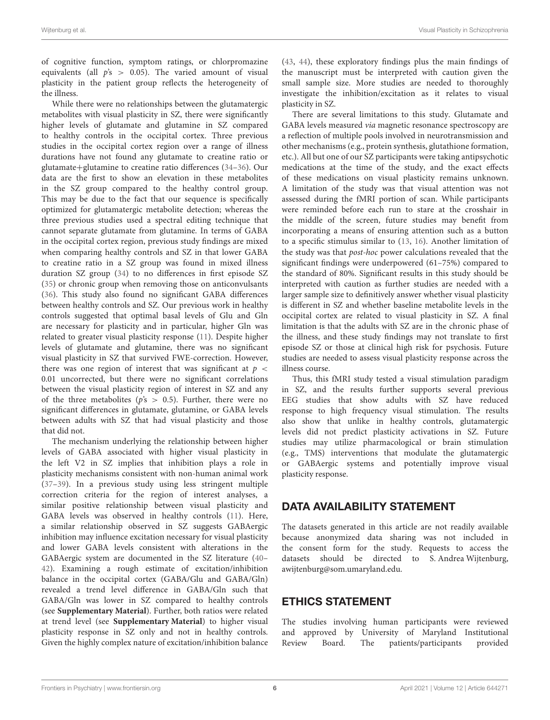of cognitive function, symptom ratings, or chlorpromazine equivalents (all  $p's > 0.05$ ). The varied amount of visual plasticity in the patient group reflects the heterogeneity of the illness.

While there were no relationships between the glutamatergic metabolites with visual plasticity in SZ, there were significantly higher levels of glutamate and glutamine in SZ compared to healthy controls in the occipital cortex. Three previous studies in the occipital cortex region over a range of illness durations have not found any glutamate to creatine ratio or glutamate+glutamine to creatine ratio differences [\(34](#page-7-3)[–36\)](#page-7-4). Our data are the first to show an elevation in these metabolites in the SZ group compared to the healthy control group. This may be due to the fact that our sequence is specifically optimized for glutamatergic metabolite detection; whereas the three previous studies used a spectral editing technique that cannot separate glutamate from glutamine. In terms of GABA in the occipital cortex region, previous study findings are mixed when comparing healthy controls and SZ in that lower GABA to creatine ratio in a SZ group was found in mixed illness duration SZ group [\(34\)](#page-7-3) to no differences in first episode SZ [\(35\)](#page-7-5) or chronic group when removing those on anticonvulsants [\(36\)](#page-7-4). This study also found no significant GABA differences between healthy controls and SZ. Our previous work in healthy controls suggested that optimal basal levels of Glu and Gln are necessary for plasticity and in particular, higher Gln was related to greater visual plasticity response [\(11\)](#page-6-7). Despite higher levels of glutamate and glutamine, there was no significant visual plasticity in SZ that survived FWE-correction. However, there was one region of interest that was significant at  $p <$ 0.01 uncorrected, but there were no significant correlations between the visual plasticity region of interest in SZ and any of the three metabolites ( $p's > 0.5$ ). Further, there were no significant differences in glutamate, glutamine, or GABA levels between adults with SZ that had visual plasticity and those that did not.

The mechanism underlying the relationship between higher levels of GABA associated with higher visual plasticity in the left V2 in SZ implies that inhibition plays a role in plasticity mechanisms consistent with non-human animal work [\(37](#page-7-6)[–39\)](#page-7-7). In a previous study using less stringent multiple correction criteria for the region of interest analyses, a similar positive relationship between visual plasticity and GABA levels was observed in healthy controls [\(11\)](#page-6-7). Here, a similar relationship observed in SZ suggests GABAergic inhibition may influence excitation necessary for visual plasticity and lower GABA levels consistent with alterations in the GABAergic system are documented in the SZ literature [\(40–](#page-7-8) [42\)](#page-7-9). Examining a rough estimate of excitation/inhibition balance in the occipital cortex (GABA/Glu and GABA/Gln) revealed a trend level difference in GABA/Gln such that GABA/Gln was lower in SZ compared to healthy controls (see **[Supplementary Material](#page-6-26)**). Further, both ratios were related at trend level (see **[Supplementary Material](#page-6-26)**) to higher visual plasticity response in SZ only and not in healthy controls. Given the highly complex nature of excitation/inhibition balance [\(43,](#page-7-10) [44\)](#page-7-11), these exploratory findings plus the main findings of the manuscript must be interpreted with caution given the small sample size. More studies are needed to thoroughly investigate the inhibition/excitation as it relates to visual plasticity in SZ.

There are several limitations to this study. Glutamate and GABA levels measured via magnetic resonance spectroscopy are a reflection of multiple pools involved in neurotransmission and other mechanisms (e.g., protein synthesis, glutathione formation, etc.). All but one of our SZ participants were taking antipsychotic medications at the time of the study, and the exact effects of these medications on visual plasticity remains unknown. A limitation of the study was that visual attention was not assessed during the fMRI portion of scan. While participants were reminded before each run to stare at the crosshair in the middle of the screen, future studies may benefit from incorporating a means of ensuring attention such as a button to a specific stimulus similar to [\(13,](#page-6-9) [16\)](#page-6-12). Another limitation of the study was that post-hoc power calculations revealed that the significant findings were underpowered (61–75%) compared to the standard of 80%. Significant results in this study should be interpreted with caution as further studies are needed with a larger sample size to definitively answer whether visual plasticity is different in SZ and whether baseline metabolite levels in the occipital cortex are related to visual plasticity in SZ. A final limitation is that the adults with SZ are in the chronic phase of the illness, and these study findings may not translate to first episode SZ or those at clinical high risk for psychosis. Future studies are needed to assess visual plasticity response across the illness course.

Thus, this fMRI study tested a visual stimulation paradigm in SZ, and the results further supports several previous EEG studies that show adults with SZ have reduced response to high frequency visual stimulation. The results also show that unlike in healthy controls, glutamatergic levels did not predict plasticity activations in SZ. Future studies may utilize pharmacological or brain stimulation (e.g., TMS) interventions that modulate the glutamatergic or GABAergic systems and potentially improve visual plasticity response.

# DATA AVAILABILITY STATEMENT

The datasets generated in this article are not readily available because anonymized data sharing was not included in the consent form for the study. Requests to access the datasets should be directed to S. Andrea Wijtenburg, [awijtenburg@som.umaryland.edu.](mailto:awijtenburg@som.umaryland.edu)

# ETHICS STATEMENT

The studies involving human participants were reviewed and approved by University of Maryland Institutional Review Board. The patients/participants provided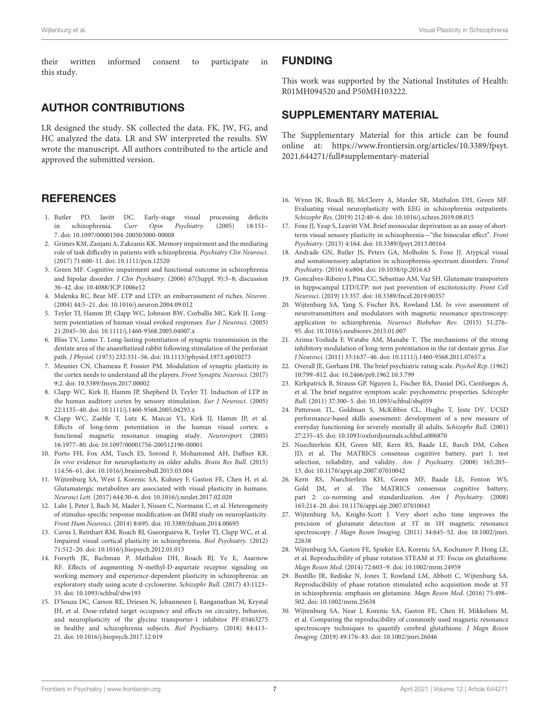their written informed consent to participate in this study.

# AUTHOR CONTRIBUTIONS

LR designed the study. SK collected the data. FK, JW, FG, and HC analyzed the data. LR and SW interpreted the results. SW wrote the manuscript. All authors contributed to the article and approved the submitted version.

# **REFERENCES**

- <span id="page-6-0"></span>1. Butler PD, Javitt DC. Early-stage visual processing deficits in schizophrenia. Curr Opin Psychiatry. (2005) 18:151– 7. doi: [10.1097/00001504-200503000-00008](https://doi.org/10.1097/00001504-200503000-00008)
- 2. Grimes KM, Zanjani A, Zakzanis KK. Memory impairment and the mediating role of task difficulty in patients with schizophrenia. Psychiatry Clin Neurosci. (2017) 71:600–11. doi: [10.1111/pcn.12520](https://doi.org/10.1111/pcn.12520)
- <span id="page-6-1"></span>3. Green MF. Cognitive impairment and functional outcome in schizophrenia and bipolar disorder. J Clin Psychiatry. (2006) 67(Suppl. 9):3–8; discussion 36–42. doi: [10.4088/JCP.1006e12](https://doi.org/10.4088/JCP.1006e12)
- <span id="page-6-2"></span>4. Malenka RC, Bear MF. LTP and LTD: an embarrassment of riches. Neuron. (2004) 44:5–21. doi: [10.1016/j.neuron.2004.09.012](https://doi.org/10.1016/j.neuron.2004.09.012)
- <span id="page-6-25"></span>5. Teyler TJ, Hamm JP, Clapp WC, Johnson BW, Corballis MC, Kirk IJ. Longterm potentiation of human visual evoked responses. Eur J Neurosci. (2005) 21:2045–50. doi: [10.1111/j.1460-9568.2005.04007.x](https://doi.org/10.1111/j.1460-9568.2005.04007.x)
- 6. Bliss TV, Lomo T. Long-lasting potentiation of synaptic transmission in the dentate area of the anaesthetized rabbit following stimulation of the perforant path. J Physiol. (1973) 232:331–56. doi: [10.1113/jphysiol.1973.sp010273](https://doi.org/10.1113/jphysiol.1973.sp010273)
- <span id="page-6-3"></span>7. Meunier CN, Chameau P, Fossier PM. Modulation of synaptic plasticity in the cortex needs to understand all the players. Front Synaptic Neurosci. (2017) 9:2. doi: [10.3389/fnsyn.2017.00002](https://doi.org/10.3389/fnsyn.2017.00002)
- <span id="page-6-4"></span>8. Clapp WC, Kirk IJ, Hamm JP, Shepherd D, Teyler TJ. Induction of LTP in the human auditory cortex by sensory stimulation. Eur J Neurosci. (2005) 22:1135–40. doi: [10.1111/j.1460-9568.2005.04293.x](https://doi.org/10.1111/j.1460-9568.2005.04293.x)
- <span id="page-6-5"></span>9. Clapp WC, Zaehle T, Lutz K, Marcar VL, Kirk IJ, Hamm JP, et al. Effects of long-term potentiation in the human visual cortex: a functional magnetic resonance imaging study. Neuroreport. (2005) 16:1977–80. doi: [10.1097/00001756-200512190-00001](https://doi.org/10.1097/00001756-200512190-00001)
- <span id="page-6-6"></span>10. Porto FH, Fox AM, Tusch ES, Sorond F, Mohammed AH, Daffner KR. In vivo evidence for neuroplasticity in older adults. Brain Res Bull. (2015) 114:56–61. doi: [10.1016/j.brainresbull.2015.03.004](https://doi.org/10.1016/j.brainresbull.2015.03.004)
- <span id="page-6-7"></span>11. Wijtenburg SA, West J, Korenic SA, Kuhney F, Gaston FE, Chen H, et al. Glutamatergic metabolites are associated with visual plasticity in humans. Neurosci Lett. (2017) 644:30–6. doi: [10.1016/j.neulet.2017.02.020](https://doi.org/10.1016/j.neulet.2017.02.020)
- <span id="page-6-8"></span>12. Lahr J, Peter J, Bach M, Mader I, Nissen C, Normann C, et al. Heterogeneity of stimulus-specific response modification-an fMRI study on neuroplasticity. Front Hum Neurosci. (2014) 8:695. doi: [10.3389/fnhum.2014.00695](https://doi.org/10.3389/fnhum.2014.00695)
- <span id="page-6-9"></span>13. Cavus I, Reinhart RM, Roach BJ, Gueorguieva R, Teyler TJ, Clapp WC, et al. Impaired visual cortical plasticity in schizophrenia. Biol Psychiatry. (2012) 71:512–20. doi: [10.1016/j.biopsych.2012.01.013](https://doi.org/10.1016/j.biopsych.2012.01.013)
- <span id="page-6-10"></span>14. Forsyth JK, Bachman P, Mathalon DH, Roach BJ, Ye E, Asarnow RF. Effects of augmenting N-methyl-D-aspartate receptor signaling on working memory and experience-dependent plasticity in schizophrenia: an exploratory study using acute d-cycloserine. Schizophr Bull. (2017) 43:1123– 33. doi: [10.1093/schbul/sbw193](https://doi.org/10.1093/schbul/sbw193)
- <span id="page-6-11"></span>15. D'Souza DC, Carson RE, Driesen N, Johannesen J, Ranganathan M, Krystal JH, et al. Dose-related target occupancy and effects on circuitry, behavior, and neuroplasticity of the glycine transporter-1 inhibitor PF-03463275 in healthy and schizophrenia subjects. Biol Psychiatry. (2018) 84:413– 21. doi: [10.1016/j.biopsych.2017.12.019](https://doi.org/10.1016/j.biopsych.2017.12.019)

## FUNDING

This work was supported by the National Institutes of Health: R01MH094520 and P50MH103222.

## SUPPLEMENTARY MATERIAL

<span id="page-6-26"></span>The Supplementary Material for this article can be found [online at: https://www.frontiersin.org/articles/10.3389/fpsyt.](https://www.frontiersin.org/articles/10.3389/fpsyt.2021.644271/full#supplementary-material) 2021.644271/full#supplementary-material

- <span id="page-6-12"></span>16. Wynn JK, Roach BJ, McCleery A, Marder SR, Mathalon DH, Green MF. Evaluating visual neuroplasticity with EEG in schizophrenia outpatients. Schizophr Res. (2019) 212:40–6. doi: [10.1016/j.schres.2019.08.015](https://doi.org/10.1016/j.schres.2019.08.015)
- <span id="page-6-13"></span>17. Foxe JJ, Yeap S, Leavitt VM. Brief monocular deprivation as an assay of shortterm visual sensory plasticity in schizophrenia—"the binocular effect". Front Psychiatry. (2013) 4:164. doi: [10.3389/fpsyt.2013.00164](https://doi.org/10.3389/fpsyt.2013.00164)
- <span id="page-6-14"></span>18. Andrade GN, Butler JS, Peters GA, Molholm S, Foxe JJ. Atypical visual and somatosensory adaptation in schizophrenia-spectrum disorders. Transl Psychiatry. (2016) 6:e804. doi: [10.1038/tp.2016.63](https://doi.org/10.1038/tp.2016.63)
- <span id="page-6-15"></span>19. Goncalves-Ribeiro J, Pina CC, Sebastiao AM, Vaz SH. Glutamate transporters in hippocampal LTD/LTP: not just prevention of excitotoxicity. Front Cell Neurosci. (2019) 13:357. doi: [10.3389/fncel.2019.00357](https://doi.org/10.3389/fncel.2019.00357)
- <span id="page-6-16"></span>20. Wijtenburg SA, Yang S, Fischer BA, Rowland LM. In vivo assessment of neurotransmitters and modulators with magnetic resonance spectroscopy: application to schizophrenia. Neurosci Biobehav Rev. (2015) 51:276– 95. doi: [10.1016/j.neubiorev.2015.01.007](https://doi.org/10.1016/j.neubiorev.2015.01.007)
- <span id="page-6-17"></span>21. Arima-Yoshida F, Watabe AM, Manabe T. The mechanisms of the strong inhibitory modulation of long-term potentiation in the rat dentate gyrus. Eur J Neurosci. (2011) 33:1637–46. doi: [10.1111/j.1460-9568.2011.07657.x](https://doi.org/10.1111/j.1460-9568.2011.07657.x)
- <span id="page-6-18"></span>22. Overall JE, Gorham DR. The brief psychiatric rating scale. Psychol Rep. (1962) 10:799–812. doi: [10.2466/pr0.1962.10.3.799](https://doi.org/10.2466/pr0.1962.10.3.799)
- <span id="page-6-19"></span>23. Kirkpatrick B, Strauss GP, Nguyen L, Fischer BA, Daniel DG, Cienfuegos A, et al. The brief negative symptom scale: psychometric properties. Schizophr Bull. (2011) 37:300–5. doi: [10.1093/schbul/sbq059](https://doi.org/10.1093/schbul/sbq059)
- <span id="page-6-20"></span>24. Patterson TL, Goldman S, McKibbin CL, Hughs T, Jeste DV. UCSD performance-based skills assessment: development of a new measure of everyday functioning for severely mentally ill adults. Schizophr Bull. (2001) 27:235–45. doi: [10.1093/oxfordjournals.schbul.a006870](https://doi.org/10.1093/oxfordjournals.schbul.a006870)
- <span id="page-6-21"></span>25. Nuechterlein KH, Green MF, Kern RS, Baade LE, Barch DM, Cohen JD, et al. The MATRICS consensus cognitive battery, part 1: test selection, reliability, and validity. Am J Psychiatry. (2008) 165:203-13. doi: [10.1176/appi.ajp.2007.07010042](https://doi.org/10.1176/appi.ajp.2007.07010042)
- <span id="page-6-22"></span>26. Kern RS, Nuechterlein KH, Green MF, Baade LE, Fenton WS, Gold JM, et al. The MATRICS consensus cognitive battery, part 2: co-norming and standardization. Am J Psychiatry. (2008) 165:214–20. doi: [10.1176/appi.ajp.2007.07010043](https://doi.org/10.1176/appi.ajp.2007.07010043)
- <span id="page-6-23"></span>27. Wijtenburg SA, Knight-Scott J. Very short echo time improves the precision of glutamate detection at 3T in 1H magnetic resonance spectroscopy. J Magn Reson Imaging[. \(2011\) 34:645–52. doi: 10.1002/jmri.](https://doi.org/10.1002/jmri.22638) 22638
- 28. Wijtenburg SA, Gaston FE, Spieker EA, Korenic SA, Kochunov P, Hong LE, et al. Reproducibility of phase rotation STEAM at 3T: Focus on glutathione. Magn Reson Med. (2014) 72:603–9. doi: [10.1002/mrm.24959](https://doi.org/10.1002/mrm.24959)
- 29. Bustillo JR, Rediske N, Jones T, Rowland LM, Abbott C, Wijtenburg SA. Reproducibility of phase rotation stimulated echo acquisition mode at 3T in schizophrenia: emphasis on glutamine. Magn Reson Med. (2016) 75:498– 502. doi: [10.1002/mrm.25638](https://doi.org/10.1002/mrm.25638)
- <span id="page-6-24"></span>30. Wijtenburg SA, Near J, Korenic SA, Gaston FE, Chen H, Mikkelsen M, et al. Comparing the reproducibility of commonly used magnetic resonance spectroscopy techniques to quantify cerebral glutathione. J Magn Reson Imaging. (2019) 49:176–83. doi: [10.1002/jmri.26046](https://doi.org/10.1002/jmri.26046)